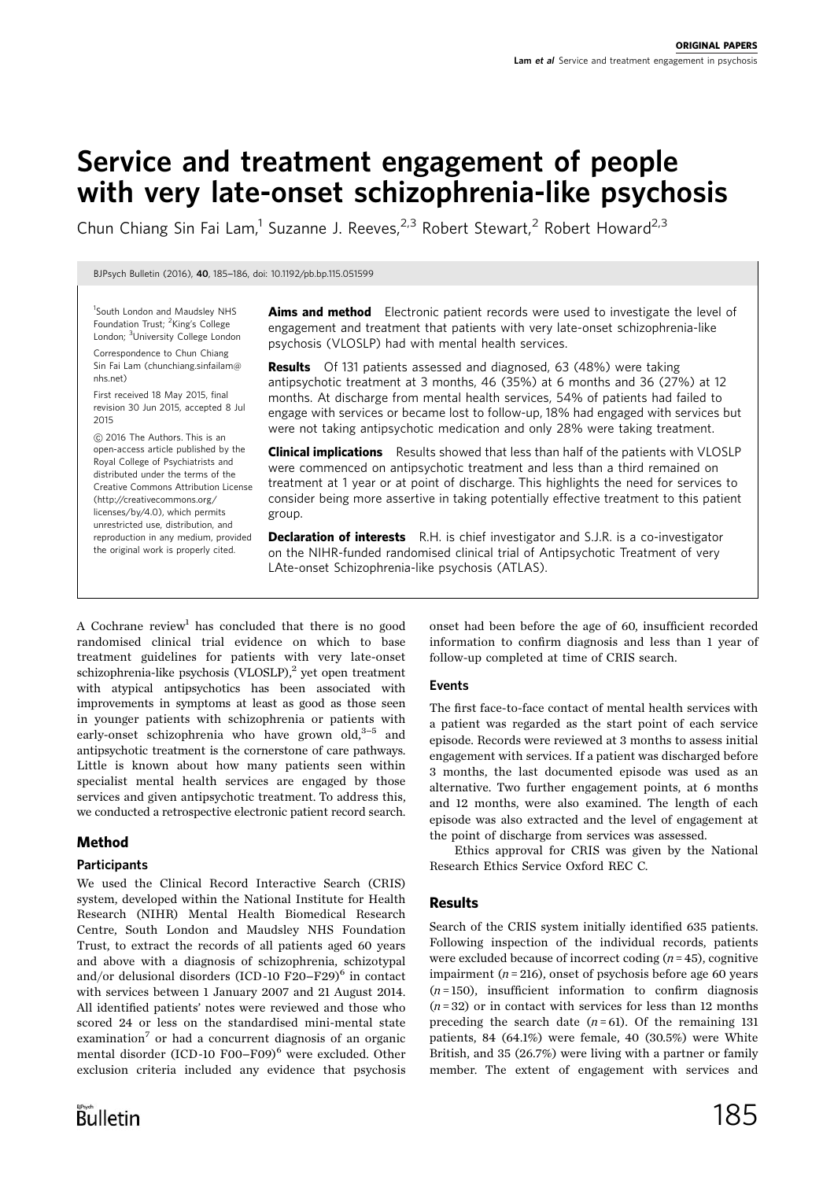# Service and treatment engagement of people with very late-onset schizophrenia-like psychosis

Chun Chiang Sin Fai Lam,<sup>1</sup> Suzanne J. Reeves,<sup>2,3</sup> Robert Stewart,<sup>2</sup> Robert Howard<sup>2,3</sup>

BJPsych Bulletin (2016), <sup>40</sup>, 185-186, doi: 10.1192/pb.bp.115.051599

<sup>1</sup>South London and Maudsley NHS Foundation Trust; <sup>2</sup>King's College London; <sup>3</sup>University College London Correspondence to Chun Chiang

Sin Fai Lam (chunchiang.sinfailam@ nhs.net) First received 18 May 2015, final

revision 30 Jun 2015, accepted 8 Jul 2015

*B* 2016 The Authors. This is an open-access article published by the Royal College of Psychiatrists and distributed under the terms of the Creative Commons Attribution License (http://creativecommons.org/ licenses/by/4.0), which permits unrestricted use, distribution, and reproduction in any medium, provided the original work is properly cited.

Aims and method Electronic patient records were used to investigate the level of engagement and treatment that patients with very late-onset schizophrenia-like psychosis (VLOSLP) had with mental health services.

**Results** Of 131 patients assessed and diagnosed, 63 (48%) were taking antipsychotic treatment at 3 months, 46 (35%) at 6 months and 36 (27%) at 12 months. At discharge from mental health services, 54% of patients had failed to engage with services or became lost to follow-up, 18% had engaged with services but were not taking antipsychotic medication and only 28% were taking treatment.

Clinical implications Results showed that less than half of the patients with VLOSLP were commenced on antipsychotic treatment and less than a third remained on treatment at 1 year or at point of discharge. This highlights the need for services to consider being more assertive in taking potentially effective treatment to this patient group.

**Declaration of interests** R.H. is chief investigator and S.J.R. is a co-investigator on the NIHR-funded randomised clinical trial of Antipsychotic Treatment of very LAte-onset Schizophrenia-like psychosis (ATLAS).

A Cochrane review<sup>1</sup> has concluded that there is no good randomised clinical trial evidence on which to base treatment guidelines for patients with very late-onset schizophrenia-like psychosis  $(VLOSLP)<sup>2</sup>$  yet open treatment with atypical antipsychotics has been associated with improvements in symptoms at least as good as those seen in younger patients with schizophrenia or patients with early-onset schizophrenia who have grown old, $3-5$  and antipsychotic treatment is the cornerstone of care pathways. Little is known about how many patients seen within specialist mental health services are engaged by those services and given antipsychotic treatment. To address this, we conducted a retrospective electronic patient record search.

## Method

### **Participants**

We used the Clinical Record Interactive Search (CRIS) system, developed within the National Institute for Health Research (NIHR) Mental Health Biomedical Research Centre, South London and Maudsley NHS Foundation Trust, to extract the records of all patients aged 60 years and above with a diagnosis of schizophrenia, schizotypal and/or delusional disorders (ICD-10 F20–F29) $<sup>6</sup>$  in contact</sup> with services between 1 January 2007 and 21 August 2014. All identified patients' notes were reviewed and those who scored 24 or less on the standardised mini-mental state examination<sup>7</sup> or had a concurrent diagnosis of an organic mental disorder (ICD-10 F00-F09)<sup>6</sup> were excluded. Other exclusion criteria included any evidence that psychosis onset had been before the age of 60, insufficient recorded information to confirm diagnosis and less than 1 year of follow-up completed at time of CRIS search.

### Events

The first face-to-face contact of mental health services with a patient was regarded as the start point of each service episode. Records were reviewed at 3 months to assess initial engagement with services. If a patient was discharged before 3 months, the last documented episode was used as an alternative. Two further engagement points, at 6 months and 12 months, were also examined. The length of each episode was also extracted and the level of engagement at the point of discharge from services was assessed.

Ethics approval for CRIS was given by the National Research Ethics Service Oxford REC C.

### Results

Search of the CRIS system initially identified 635 patients. Following inspection of the individual records, patients were excluded because of incorrect coding  $(n = 45)$ , cognitive impairment ( $n = 216$ ), onset of psychosis before age 60 years  $(n=150)$ , insufficient information to confirm diagnosis  $(n=32)$  or in contact with services for less than 12 months preceding the search date  $(n=61)$ . Of the remaining 131 patients, 84 (64.1%) were female, 40 (30.5%) were White British, and 35 (26.7%) were living with a partner or family member. The extent of engagement with services and